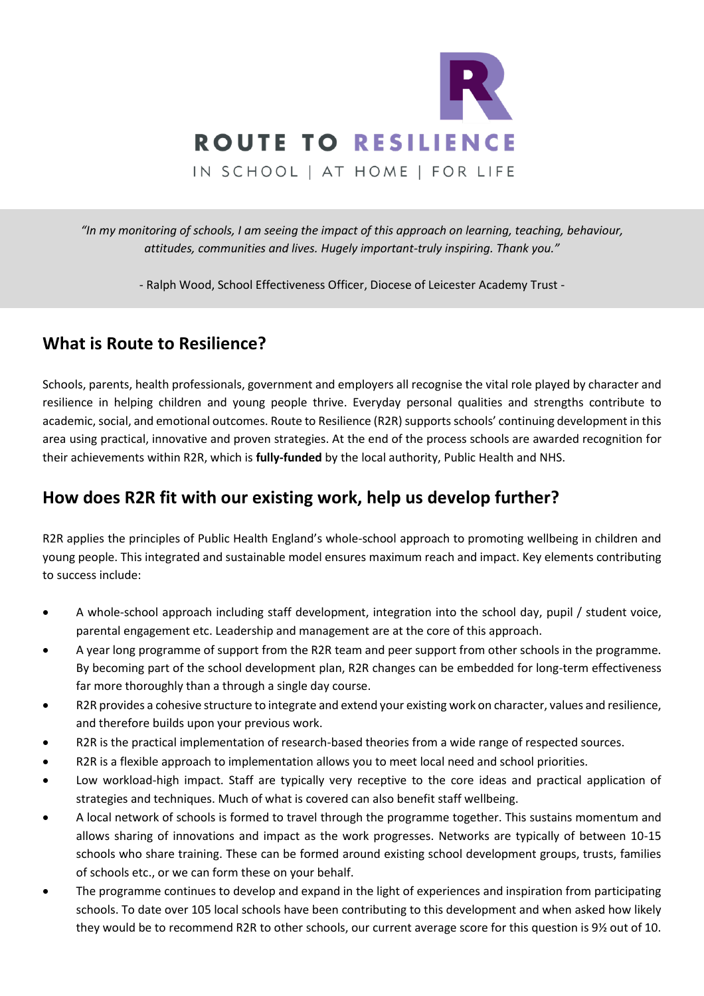

*"In my monitoring of schools, I am seeing the impact of this approach on learning, teaching, behaviour, attitudes, communities and lives. Hugely important-truly inspiring. Thank you."*

- Ralph Wood, School Effectiveness Officer, Diocese of Leicester Academy Trust -

# **What is Route to Resilience?**

Schools, parents, health professionals, government and employers all recognise the vital role played by character and resilience in helping children and young people thrive. Everyday personal qualities and strengths contribute to academic, social, and emotional outcomes. Route to Resilience (R2R) supports schools' continuing development in this area using practical, innovative and proven strategies. At the end of the process schools are awarded recognition for their achievements within R2R, which is **fully-funded** by the local authority, Public Health and NHS.

## **How does R2R fit with our existing work, help us develop further?**

R2R applies the principles of Public Health England's whole-school approach to promoting wellbeing in children and young people. This integrated and sustainable model ensures maximum reach and impact. Key elements contributing to success include:

- A whole-school approach including staff development, integration into the school day, pupil / student voice, parental engagement etc. Leadership and management are at the core of this approach.
- A year long programme of support from the R2R team and peer support from other schools in the programme. By becoming part of the school development plan, R2R changes can be embedded for long-term effectiveness far more thoroughly than a through a single day course.
- R2R provides a cohesive structure to integrate and extend your existing work on character, values and resilience, and therefore builds upon your previous work.
- R2R is the practical implementation of research-based theories from a wide range of respected sources.
- R2R is a flexible approach to implementation allows you to meet local need and school priorities.
- Low workload-high impact. Staff are typically very receptive to the core ideas and practical application of strategies and techniques. Much of what is covered can also benefit staff wellbeing.
- A local network of schools is formed to travel through the programme together. This sustains momentum and allows sharing of innovations and impact as the work progresses. Networks are typically of between 10-15 schools who share training. These can be formed around existing school development groups, trusts, families of schools etc., or we can form these on your behalf.
- The programme continues to develop and expand in the light of experiences and inspiration from participating schools. To date over 105 local schools have been contributing to this development and when asked how likely they would be to recommend R2R to other schools, our current average score for this question is 9½ out of 10.